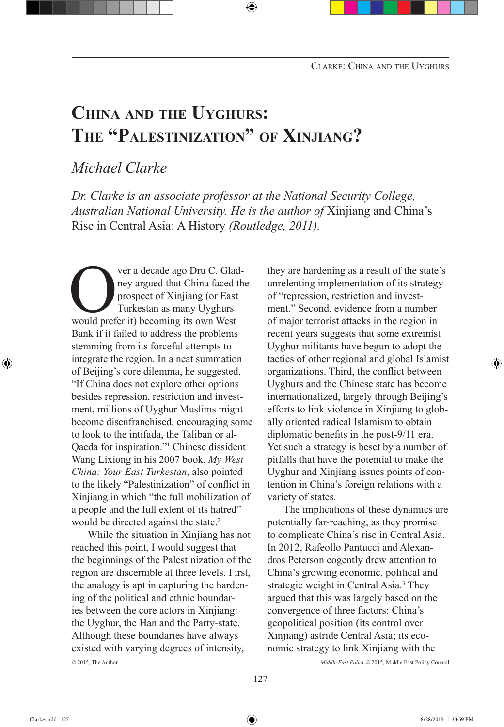# **China and the Uyghurs: The "Palestinization" of Xinjiang?**

# *Michael Clarke*

*Dr. Clarke is an associate professor at the National Security College, Australian National University. He is the author of* Xinjiang and China's Rise in Central Asia: A History *(Routledge, 2011).*

ver a decade ago Dru C. Glad-<br>ney argued that China faced the<br>prospect of Xinjiang (or East<br>Turkestan as many Uyghurs<br>would prefer it) becoming its own West ney argued that China faced the prospect of Xinjiang (or East Turkestan as many Uyghurs Bank if it failed to address the problems stemming from its forceful attempts to integrate the region. In a neat summation of Beijing's core dilemma, he suggested, "If China does not explore other options besides repression, restriction and investment, millions of Uyghur Muslims might become disenfranchised, encouraging some to look to the intifada, the Taliban or al-Qaeda for inspiration."1 Chinese dissident Wang Lixiong in his 2007 book, *My West China: Your East Turkestan*, also pointed to the likely "Palestinization" of conflict in Xinjiang in which "the full mobilization of a people and the full extent of its hatred" would be directed against the state.<sup>2</sup>

While the situation in Xinjiang has not reached this point, I would suggest that the beginnings of the Palestinization of the region are discernible at three levels. First, the analogy is apt in capturing the hardening of the political and ethnic boundaries between the core actors in Xinjiang: the Uyghur, the Han and the Party-state. Although these boundaries have always existed with varying degrees of intensity, © 2015, The Author *Middle East Policy* © 2015, Middle East Policy Council

they are hardening as a result of the state's unrelenting implementation of its strategy of "repression, restriction and investment." Second, evidence from a number of major terrorist attacks in the region in recent years suggests that some extremist Uyghur militants have begun to adopt the tactics of other regional and global Islamist organizations. Third, the conflict between Uyghurs and the Chinese state has become internationalized, largely through Beijing's efforts to link violence in Xinjiang to globally oriented radical Islamism to obtain diplomatic benefits in the post-9/11 era. Yet such a strategy is beset by a number of pitfalls that have the potential to make the Uyghur and Xinjiang issues points of contention in China's foreign relations with a variety of states.

The implications of these dynamics are potentially far-reaching, as they promise to complicate China's rise in Central Asia. In 2012, Rafeollo Pantucci and Alexandros Peterson cogently drew attention to China's growing economic, political and strategic weight in Central Asia.<sup>3</sup> They argued that this was largely based on the convergence of three factors: China's geopolitical position (its control over Xinjiang) astride Central Asia; its economic strategy to link Xinjiang with the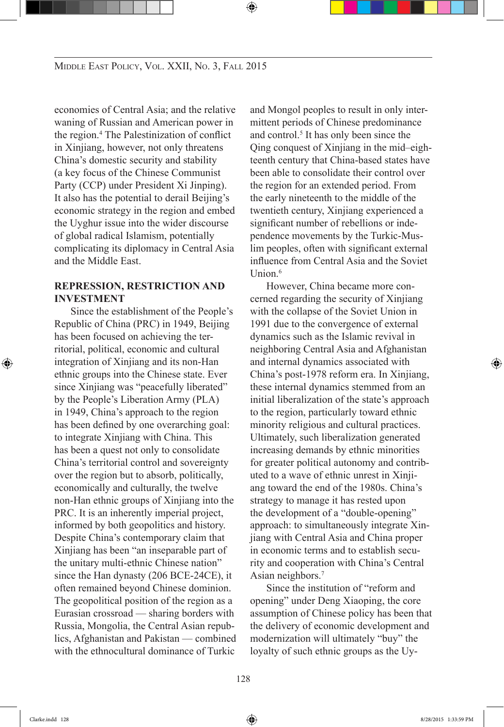economies of Central Asia; and the relative waning of Russian and American power in the region.4 The Palestinization of conflict in Xinjiang, however, not only threatens China's domestic security and stability (a key focus of the Chinese Communist Party (CCP) under President Xi Jinping). It also has the potential to derail Beijing's economic strategy in the region and embed the Uyghur issue into the wider discourse of global radical Islamism, potentially complicating its diplomacy in Central Asia and the Middle East.

## **Repression, Restriction and Investment**

Since the establishment of the People's Republic of China (PRC) in 1949, Beijing has been focused on achieving the territorial, political, economic and cultural integration of Xinjiang and its non-Han ethnic groups into the Chinese state. Ever since Xinjiang was "peacefully liberated" by the People's Liberation Army (PLA) in 1949, China's approach to the region has been defined by one overarching goal: to integrate Xinjiang with China. This has been a quest not only to consolidate China's territorial control and sovereignty over the region but to absorb, politically, economically and culturally, the twelve non-Han ethnic groups of Xinjiang into the PRC. It is an inherently imperial project, informed by both geopolitics and history. Despite China's contemporary claim that Xinjiang has been "an inseparable part of the unitary multi-ethnic Chinese nation" since the Han dynasty (206 BCE-24CE), it often remained beyond Chinese dominion. The geopolitical position of the region as a Eurasian crossroad — sharing borders with Russia, Mongolia, the Central Asian republics, Afghanistan and Pakistan — combined with the ethnocultural dominance of Turkic and Mongol peoples to result in only intermittent periods of Chinese predominance and control.<sup>5</sup> It has only been since the Qing conquest of Xinjiang in the mid–eighteenth century that China-based states have been able to consolidate their control over the region for an extended period. From the early nineteenth to the middle of the twentieth century, Xinjiang experienced a significant number of rebellions or independence movements by the Turkic-Muslim peoples, often with significant external influence from Central Asia and the Soviet Union $6$ 

However, China became more concerned regarding the security of Xinjiang with the collapse of the Soviet Union in 1991 due to the convergence of external dynamics such as the Islamic revival in neighboring Central Asia and Afghanistan and internal dynamics associated with China's post-1978 reform era. In Xinjiang, these internal dynamics stemmed from an initial liberalization of the state's approach to the region, particularly toward ethnic minority religious and cultural practices. Ultimately, such liberalization generated increasing demands by ethnic minorities for greater political autonomy and contributed to a wave of ethnic unrest in Xinjiang toward the end of the 1980s. China's strategy to manage it has rested upon the development of a "double-opening" approach: to simultaneously integrate Xinjiang with Central Asia and China proper in economic terms and to establish security and cooperation with China's Central Asian neighbors.7

Since the institution of "reform and opening" under Deng Xiaoping, the core assumption of Chinese policy has been that the delivery of economic development and modernization will ultimately "buy" the loyalty of such ethnic groups as the Uy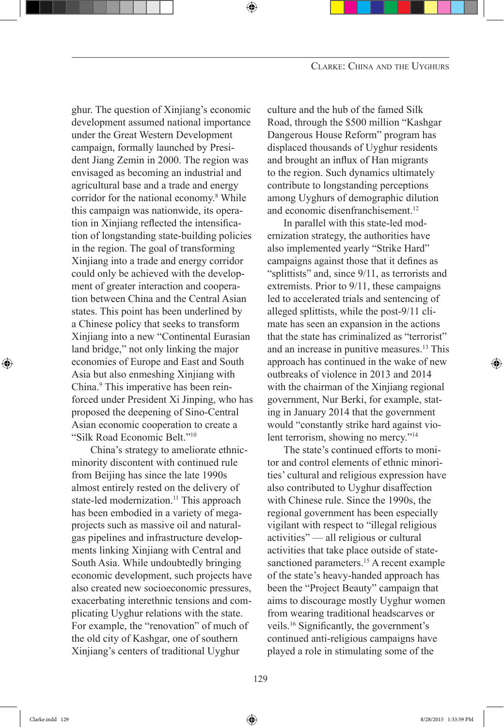ghur. The question of Xinjiang's economic development assumed national importance under the Great Western Development campaign, formally launched by President Jiang Zemin in 2000. The region was envisaged as becoming an industrial and agricultural base and a trade and energy corridor for the national economy.<sup>8</sup> While this campaign was nationwide, its operation in Xinjiang reflected the intensification of longstanding state-building policies in the region. The goal of transforming Xinjiang into a trade and energy corridor could only be achieved with the development of greater interaction and cooperation between China and the Central Asian states. This point has been underlined by a Chinese policy that seeks to transform Xinjiang into a new "Continental Eurasian land bridge," not only linking the major economies of Europe and East and South Asia but also enmeshing Xinjiang with China.<sup>9</sup> This imperative has been reinforced under President Xi Jinping, who has proposed the deepening of Sino-Central Asian economic cooperation to create a "Silk Road Economic Belt."10

 China's strategy to ameliorate ethnicminority discontent with continued rule from Beijing has since the late 1990s almost entirely rested on the delivery of state-led modernization.<sup>11</sup> This approach has been embodied in a variety of megaprojects such as massive oil and naturalgas pipelines and infrastructure developments linking Xinjiang with Central and South Asia. While undoubtedly bringing economic development, such projects have also created new socioeconomic pressures, exacerbating interethnic tensions and complicating Uyghur relations with the state. For example, the "renovation" of much of the old city of Kashgar, one of southern Xinjiang's centers of traditional Uyghur

culture and the hub of the famed Silk Road, through the \$500 million "Kashgar Dangerous House Reform" program has displaced thousands of Uyghur residents and brought an influx of Han migrants to the region. Such dynamics ultimately contribute to longstanding perceptions among Uyghurs of demographic dilution and economic disenfranchisement.<sup>12</sup>

In parallel with this state-led modernization strategy, the authorities have also implemented yearly "Strike Hard" campaigns against those that it defines as "splittists" and, since 9/11, as terrorists and extremists. Prior to 9/11, these campaigns led to accelerated trials and sentencing of alleged splittists, while the post-9/11 climate has seen an expansion in the actions that the state has criminalized as "terrorist" and an increase in punitive measures.<sup>13</sup> This approach has continued in the wake of new outbreaks of violence in 2013 and 2014 with the chairman of the Xinjiang regional government, Nur Berki, for example, stating in January 2014 that the government would "constantly strike hard against violent terrorism, showing no mercy."<sup>14</sup>

The state's continued efforts to monitor and control elements of ethnic minorities' cultural and religious expression have also contributed to Uyghur disaffection with Chinese rule. Since the 1990s, the regional government has been especially vigilant with respect to "illegal religious activities" — all religious or cultural activities that take place outside of statesanctioned parameters.<sup>15</sup> A recent example of the state's heavy-handed approach has been the "Project Beauty" campaign that aims to discourage mostly Uyghur women from wearing traditional headscarves or veils.16 Significantly, the government's continued anti-religious campaigns have played a role in stimulating some of the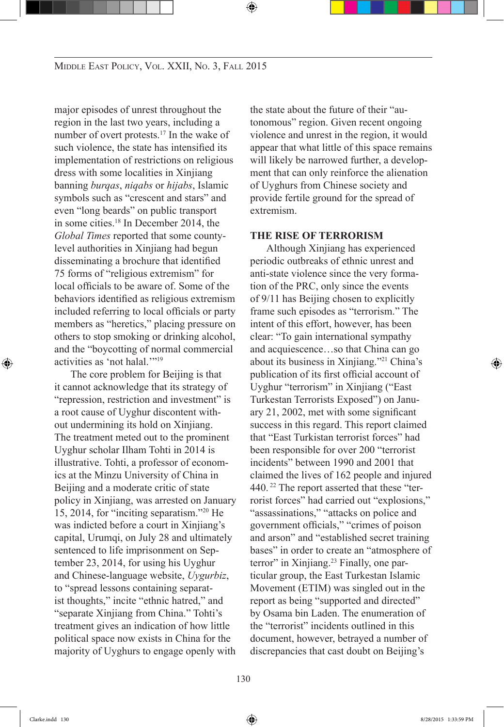major episodes of unrest throughout the region in the last two years, including a number of overt protests.17 In the wake of such violence, the state has intensified its implementation of restrictions on religious dress with some localities in Xinjiang banning *burqas*, *niqabs* or *hijabs*, Islamic symbols such as "crescent and stars" and even "long beards" on public transport in some cities.18 In December 2014, the *Global Times* reported that some countylevel authorities in Xinjiang had begun disseminating a brochure that identified 75 forms of "religious extremism" for local officials to be aware of. Some of the behaviors identified as religious extremism included referring to local officials or party members as "heretics," placing pressure on others to stop smoking or drinking alcohol, and the "boycotting of normal commercial activities as 'not halal.'"<sup>19</sup>

The core problem for Beijing is that it cannot acknowledge that its strategy of "repression, restriction and investment" is a root cause of Uyghur discontent without undermining its hold on Xinjiang. The treatment meted out to the prominent Uyghur scholar Ilham Tohti in 2014 is illustrative. Tohti, a professor of economics at the Minzu University of China in Beijing and a moderate critic of state policy in Xinjiang, was arrested on January 15, 2014, for "inciting separatism."20 He was indicted before a court in Xinjiang's capital, Urumqi, on July 28 and ultimately sentenced to life imprisonment on September 23, 2014, for using his Uyghur and Chinese-language website, *Uygurbiz*, to "spread lessons containing separatist thoughts," incite "ethnic hatred," and "separate Xinjiang from China." Tohti's treatment gives an indication of how little political space now exists in China for the majority of Uyghurs to engage openly with

the state about the future of their "autonomous" region. Given recent ongoing violence and unrest in the region, it would appear that what little of this space remains will likely be narrowed further, a development that can only reinforce the alienation of Uyghurs from Chinese society and provide fertile ground for the spread of extremism.

#### **THE RISE OF TERRORISM**

Although Xinjiang has experienced periodic outbreaks of ethnic unrest and anti-state violence since the very formation of the PRC, only since the events of 9/11 has Beijing chosen to explicitly frame such episodes as "terrorism." The intent of this effort, however, has been clear: "To gain international sympathy and acquiescence…so that China can go about its business in Xinjiang."21 China's publication of its first official account of Uyghur "terrorism" in Xinjiang ("East Turkestan Terrorists Exposed") on January 21, 2002, met with some significant success in this regard. This report claimed that "East Turkistan terrorist forces" had been responsible for over 200 "terrorist incidents" between 1990 and 2001 that claimed the lives of 162 people and injured 440.<sup>22</sup> The report asserted that these "terrorist forces" had carried out "explosions," "assassinations," "attacks on police and government officials," "crimes of poison and arson" and "established secret training bases" in order to create an "atmosphere of terror" in Xinjiang.<sup>23</sup> Finally, one particular group, the East Turkestan Islamic Movement (ETIM) was singled out in the report as being "supported and directed" by Osama bin Laden. The enumeration of the "terrorist" incidents outlined in this document, however, betrayed a number of discrepancies that cast doubt on Beijing's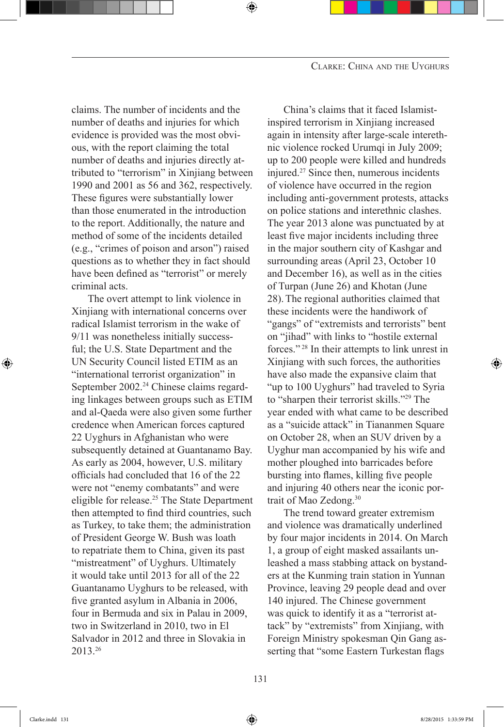claims. The number of incidents and the number of deaths and injuries for which evidence is provided was the most obvious, with the report claiming the total number of deaths and injuries directly attributed to "terrorism" in Xinjiang between 1990 and 2001 as 56 and 362, respectively. These figures were substantially lower than those enumerated in the introduction to the report. Additionally, the nature and method of some of the incidents detailed (e.g., "crimes of poison and arson") raised questions as to whether they in fact should have been defined as "terrorist" or merely criminal acts.

The overt attempt to link violence in Xinjiang with international concerns over radical Islamist terrorism in the wake of 9/11 was nonetheless initially successful; the U.S. State Department and the UN Security Council listed ETIM as an "international terrorist organization" in September 2002.<sup>24</sup> Chinese claims regarding linkages between groups such as ETIM and al-Qaeda were also given some further credence when American forces captured 22 Uyghurs in Afghanistan who were subsequently detained at Guantanamo Bay. As early as 2004, however, U.S. military officials had concluded that 16 of the 22 were not "enemy combatants" and were eligible for release.25 The State Department then attempted to find third countries, such as Turkey, to take them; the administration of President George W. Bush was loath to repatriate them to China, given its past "mistreatment" of Uyghurs. Ultimately it would take until 2013 for all of the 22 Guantanamo Uyghurs to be released, with five granted asylum in Albania in 2006, four in Bermuda and six in Palau in 2009, two in Switzerland in 2010, two in El Salvador in 2012 and three in Slovakia in 2013.26

China's claims that it faced Islamistinspired terrorism in Xinjiang increased again in intensity after large-scale interethnic violence rocked Urumqi in July 2009; up to 200 people were killed and hundreds injured.27 Since then, numerous incidents of violence have occurred in the region including anti-government protests, attacks on police stations and interethnic clashes. The year 2013 alone was punctuated by at least five major incidents including three in the major southern city of Kashgar and surrounding areas (April 23, October 10 and December 16), as well as in the cities of Turpan (June 26) and Khotan (June 28).The regional authorities claimed that these incidents were the handiwork of "gangs" of "extremists and terrorists" bent on "jihad" with links to "hostile external forces." 28 In their attempts to link unrest in Xinjiang with such forces, the authorities have also made the expansive claim that "up to 100 Uyghurs" had traveled to Syria to "sharpen their terrorist skills."<sup>29</sup> The year ended with what came to be described as a "suicide attack" in Tiananmen Square on October 28, when an SUV driven by a Uyghur man accompanied by his wife and mother ploughed into barricades before bursting into flames, killing five people and injuring 40 others near the iconic portrait of Mao Zedong.30

The trend toward greater extremism and violence was dramatically underlined by four major incidents in 2014. On March 1, a group of eight masked assailants unleashed a mass stabbing attack on bystanders at the Kunming train station in Yunnan Province, leaving 29 people dead and over 140 injured. The Chinese government was quick to identify it as a "terrorist attack" by "extremists" from Xinjiang, with Foreign Ministry spokesman Qin Gang asserting that "some Eastern Turkestan flags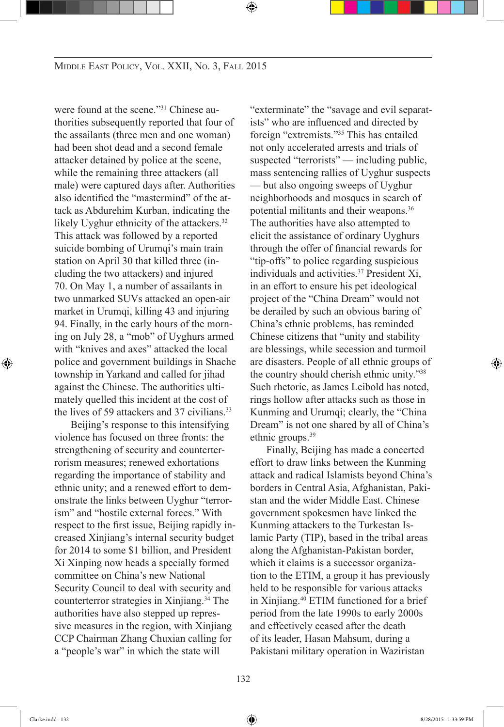were found at the scene."31 Chinese authorities subsequently reported that four of the assailants (three men and one woman) had been shot dead and a second female attacker detained by police at the scene, while the remaining three attackers (all male) were captured days after. Authorities also identified the "mastermind" of the attack as Abdurehim Kurban, indicating the likely Uyghur ethnicity of the attackers.<sup>32</sup> This attack was followed by a reported suicide bombing of Urumqi's main train station on April 30 that killed three (including the two attackers) and injured 70. On May 1, a number of assailants in two unmarked SUVs attacked an open-air market in Urumqi, killing 43 and injuring 94. Finally, in the early hours of the morning on July 28, a "mob" of Uyghurs armed with "knives and axes" attacked the local police and government buildings in Shache township in Yarkand and called for jihad against the Chinese. The authorities ultimately quelled this incident at the cost of the lives of 59 attackers and 37 civilians.<sup>33</sup>

Beijing's response to this intensifying violence has focused on three fronts: the strengthening of security and counterterrorism measures; renewed exhortations regarding the importance of stability and ethnic unity; and a renewed effort to demonstrate the links between Uyghur "terrorism" and "hostile external forces." With respect to the first issue, Beijing rapidly increased Xinjiang's internal security budget for 2014 to some \$1 billion, and President Xi Xinping now heads a specially formed committee on China's new National Security Council to deal with security and counterterror strategies in Xinjiang.34 The authorities have also stepped up repressive measures in the region, with Xinjiang CCP Chairman Zhang Chuxian calling for a "people's war" in which the state will

"exterminate" the "savage and evil separatists" who are influenced and directed by foreign "extremists."35 This has entailed not only accelerated arrests and trials of suspected "terrorists" — including public, mass sentencing rallies of Uyghur suspects — but also ongoing sweeps of Uyghur neighborhoods and mosques in search of potential militants and their weapons.36 The authorities have also attempted to elicit the assistance of ordinary Uyghurs through the offer of financial rewards for "tip-offs" to police regarding suspicious individuals and activities.<sup>37</sup> President Xi, in an effort to ensure his pet ideological project of the "China Dream" would not be derailed by such an obvious baring of China's ethnic problems, has reminded Chinese citizens that "unity and stability are blessings, while secession and turmoil are disasters. People of all ethnic groups of the country should cherish ethnic unity."38 Such rhetoric, as James Leibold has noted, rings hollow after attacks such as those in Kunming and Urumqi; clearly, the "China Dream" is not one shared by all of China's ethnic groups.<sup>39</sup>

Finally, Beijing has made a concerted effort to draw links between the Kunming attack and radical Islamists beyond China's borders in Central Asia, Afghanistan, Pakistan and the wider Middle East. Chinese government spokesmen have linked the Kunming attackers to the Turkestan Islamic Party (TIP), based in the tribal areas along the Afghanistan-Pakistan border, which it claims is a successor organization to the ETIM, a group it has previously held to be responsible for various attacks in Xinjiang.<sup>40</sup> ETIM functioned for a brief period from the late 1990s to early 2000s and effectively ceased after the death of its leader, Hasan Mahsum, during a Pakistani military operation in Waziristan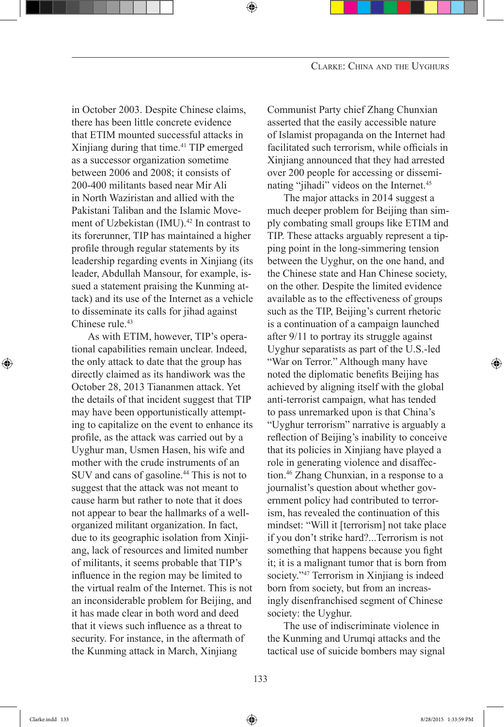in October 2003. Despite Chinese claims, there has been little concrete evidence that ETIM mounted successful attacks in Xinjiang during that time.<sup>41</sup> TIP emerged as a successor organization sometime between 2006 and 2008; it consists of 200-400 militants based near Mir Ali in North Waziristan and allied with the Pakistani Taliban and the Islamic Movement of Uzbekistan (IMU).<sup>42</sup> In contrast to its forerunner, TIP has maintained a higher profile through regular statements by its leadership regarding events in Xinjiang (its leader, Abdullah Mansour, for example, issued a statement praising the Kunming attack) and its use of the Internet as a vehicle to disseminate its calls for jihad against Chinese rule.<sup>43</sup>

As with ETIM, however, TIP's operational capabilities remain unclear. Indeed, the only attack to date that the group has directly claimed as its handiwork was the October 28, 2013 Tiananmen attack. Yet the details of that incident suggest that TIP may have been opportunistically attempting to capitalize on the event to enhance its profile, as the attack was carried out by a Uyghur man, Usmen Hasen, his wife and mother with the crude instruments of an SUV and cans of gasoline.44 This is not to suggest that the attack was not meant to cause harm but rather to note that it does not appear to bear the hallmarks of a wellorganized militant organization. In fact, due to its geographic isolation from Xinjiang, lack of resources and limited number of militants, it seems probable that TIP's influence in the region may be limited to the virtual realm of the Internet. This is not an inconsiderable problem for Beijing, and it has made clear in both word and deed that it views such influence as a threat to security. For instance, in the aftermath of the Kunming attack in March, Xinjiang

Communist Party chief Zhang Chunxian asserted that the easily accessible nature of Islamist propaganda on the Internet had facilitated such terrorism, while officials in Xinjiang announced that they had arrested over 200 people for accessing or disseminating "jihadi" videos on the Internet.<sup>45</sup>

The major attacks in 2014 suggest a much deeper problem for Beijing than simply combating small groups like ETIM and TIP. These attacks arguably represent a tipping point in the long-simmering tension between the Uyghur, on the one hand, and the Chinese state and Han Chinese society, on the other. Despite the limited evidence available as to the effectiveness of groups such as the TIP, Beijing's current rhetoric is a continuation of a campaign launched after 9/11 to portray its struggle against Uyghur separatists as part of the U.S.-led "War on Terror." Although many have noted the diplomatic benefits Beijing has achieved by aligning itself with the global anti-terrorist campaign, what has tended to pass unremarked upon is that China's "Uyghur terrorism" narrative is arguably a reflection of Beijing's inability to conceive that its policies in Xinjiang have played a role in generating violence and disaffection.46 Zhang Chunxian, in a response to a journalist's question about whether government policy had contributed to terrorism, has revealed the continuation of this mindset: "Will it [terrorism] not take place if you don't strike hard?...Terrorism is not something that happens because you fight it; it is a malignant tumor that is born from society."<sup>47</sup> Terrorism in Xinjiang is indeed born from society, but from an increasingly disenfranchised segment of Chinese society: the Uyghur.

The use of indiscriminate violence in the Kunming and Urumqi attacks and the tactical use of suicide bombers may signal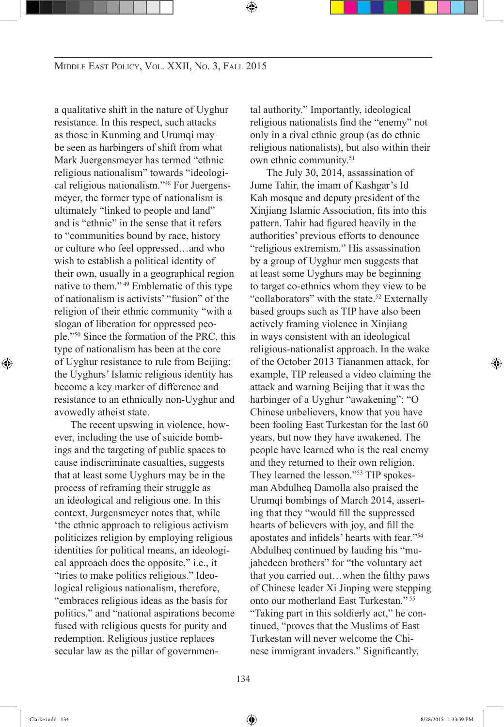a qualitative shift in the nature of Uyghur resistance. In this respect, such attacks as those in Kunming and Urumqi may be seen as harbingers of shift from what Mark Juergensmeyer has termed "ethnic religious nationalism" towards "ideological religious nationalism."48 For Juergensmeyer, the former type of nationalism is ultimately "linked to people and land" and is "ethnic" in the sense that it refers to "communities bound by race, history or culture who feel oppressed…and who wish to establish a political identity of their own, usually in a geographical region native to them."<sup>49</sup> Emblematic of this type of nationalism is activists' "fusion" of the religion of their ethnic community "with a slogan of liberation for oppressed people."50 Since the formation of the PRC, this type of nationalism has been at the core of Uyghur resistance to rule from Beijing; the Uyghurs' Islamic religious identity has become a key marker of difference and resistance to an ethnically non-Uyghur and avowedly atheist state.

The recent upswing in violence, however, including the use of suicide bombings and the targeting of public spaces to cause indiscriminate casualties, suggests that at least some Uyghurs may be in the process of reframing their struggle as an ideological and religious one. In this context, Jurgensmeyer notes that, while 'the ethnic approach to religious activism politicizes religion by employing religious identities for political means, an ideological approach does the opposite," i.e., it "tries to make politics religious." Ideological religious nationalism, therefore, "embraces religious ideas as the basis for politics," and "national aspirations become fused with religious quests for purity and redemption. Religious justice replaces secular law as the pillar of governmental authority." Importantly, ideological religious nationalists find the "enemy" not only in a rival ethnic group (as do ethnic religious nationalists), but also within their own ethnic community.<sup>51</sup>

The July 30, 2014, assassination of Jume Tahir, the imam of Kashgar's Id Kah mosque and deputy president of the Xinjiang Islamic Association, fits into this pattern. Tahir had figured heavily in the authorities' previous efforts to denounce "religious extremism." His assassination by a group of Uyghur men suggests that at least some Uyghurs may be beginning to target co-ethnics whom they view to be "collaborators" with the state.<sup>52</sup> Externally based groups such as TIP have also been actively framing violence in Xinjiang in ways consistent with an ideological religious-nationalist approach. In the wake of the October 2013 Tiananmen attack, for example, TIP released a video claiming the attack and warning Beijing that it was the harbinger of a Uyghur "awakening": "O Chinese unbelievers, know that you have been fooling East Turkestan for the last 60 years, but now they have awakened. The people have learned who is the real enemy and they returned to their own religion. They learned the lesson."53 TIP spokesman Abdulheq Damolla also praised the Urumqi bombings of March 2014, asserting that they "would fill the suppressed hearts of believers with joy, and fill the apostates and infidels' hearts with fear."<sup>54</sup> Abdulheq continued by lauding his "mujahedeen brothers" for "the voluntary act that you carried out…when the filthy paws of Chinese leader Xi Jinping were stepping onto our motherland East Turkestan." 55 "Taking part in this soldierly act," he continued, "proves that the Muslims of East Turkestan will never welcome the Chinese immigrant invaders." Significantly,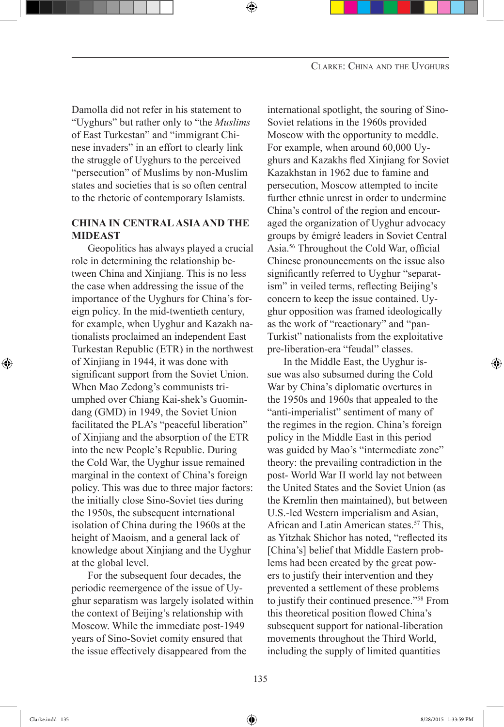Damolla did not refer in his statement to "Uyghurs" but rather only to "the *Muslims* of East Turkestan" and "immigrant Chinese invaders" in an effort to clearly link the struggle of Uyghurs to the perceived "persecution" of Muslims by non-Muslim states and societies that is so often central to the rhetoric of contemporary Islamists.

#### **CHINA IN CENTRALASIAAND THE MIDEAST**

Geopolitics has always played a crucial role in determining the relationship between China and Xinjiang. This is no less the case when addressing the issue of the importance of the Uyghurs for China's foreign policy. In the mid-twentieth century, for example, when Uyghur and Kazakh nationalists proclaimed an independent East Turkestan Republic (ETR) in the northwest of Xinjiang in 1944, it was done with significant support from the Soviet Union. When Mao Zedong's communists triumphed over Chiang Kai-shek's Guomindang (GMD) in 1949, the Soviet Union facilitated the PLA's "peaceful liberation" of Xinjiang and the absorption of the ETR into the new People's Republic. During the Cold War, the Uyghur issue remained marginal in the context of China's foreign policy. This was due to three major factors: the initially close Sino-Soviet ties during the 1950s, the subsequent international isolation of China during the 1960s at the height of Maoism, and a general lack of knowledge about Xinjiang and the Uyghur at the global level.

For the subsequent four decades, the periodic reemergence of the issue of Uyghur separatism was largely isolated within the context of Beijing's relationship with Moscow. While the immediate post-1949 years of Sino-Soviet comity ensured that the issue effectively disappeared from the

international spotlight, the souring of Sino-Soviet relations in the 1960s provided Moscow with the opportunity to meddle. For example, when around 60,000 Uyghurs and Kazakhs fled Xinjiang for Soviet Kazakhstan in 1962 due to famine and persecution, Moscow attempted to incite further ethnic unrest in order to undermine China's control of the region and encouraged the organization of Uyghur advocacy groups by émigré leaders in Soviet Central Asia.56 Throughout the Cold War, official Chinese pronouncements on the issue also significantly referred to Uyghur "separatism" in veiled terms, reflecting Beijing's concern to keep the issue contained. Uyghur opposition was framed ideologically as the work of "reactionary" and "pan-Turkist" nationalists from the exploitative pre-liberation-era "feudal" classes.

In the Middle East, the Uyghur issue was also subsumed during the Cold War by China's diplomatic overtures in the 1950s and 1960s that appealed to the "anti-imperialist" sentiment of many of the regimes in the region. China's foreign policy in the Middle East in this period was guided by Mao's "intermediate zone" theory: the prevailing contradiction in the post- World War II world lay not between the United States and the Soviet Union (as the Kremlin then maintained), but between U.S.-led Western imperialism and Asian, African and Latin American states.<sup>57</sup> This, as Yitzhak Shichor has noted, "reflected its [China's] belief that Middle Eastern problems had been created by the great powers to justify their intervention and they prevented a settlement of these problems to justify their continued presence."58 From this theoretical position flowed China's subsequent support for national-liberation movements throughout the Third World, including the supply of limited quantities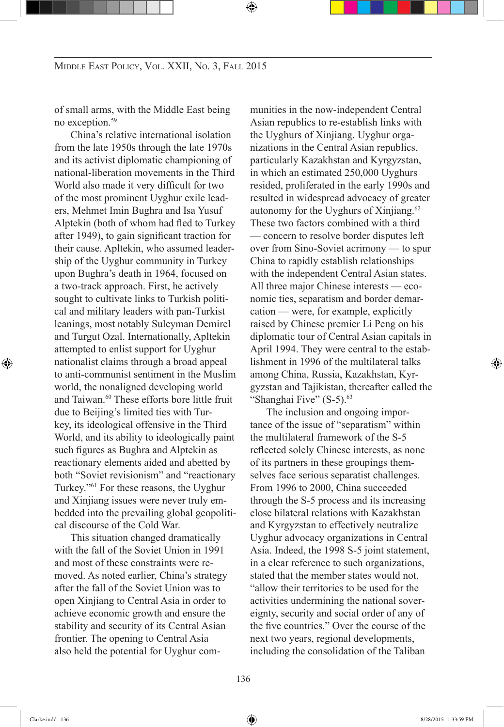of small arms, with the Middle East being no exception.<sup>59</sup>

China's relative international isolation from the late 1950s through the late 1970s and its activist diplomatic championing of national-liberation movements in the Third World also made it very difficult for two of the most prominent Uyghur exile leaders, Mehmet Imin Bughra and Isa Yusuf Alptekin (both of whom had fled to Turkey after 1949), to gain significant traction for their cause. Apltekin, who assumed leadership of the Uyghur community in Turkey upon Bughra's death in 1964, focused on a two-track approach. First, he actively sought to cultivate links to Turkish political and military leaders with pan-Turkist leanings, most notably Suleyman Demirel and Turgut Ozal. Internationally, Apltekin attempted to enlist support for Uyghur nationalist claims through a broad appeal to anti-communist sentiment in the Muslim world, the nonaligned developing world and Taiwan.<sup>60</sup> These efforts bore little fruit due to Beijing's limited ties with Turkey, its ideological offensive in the Third World, and its ability to ideologically paint such figures as Bughra and Alptekin as reactionary elements aided and abetted by both "Soviet revisionism" and "reactionary Turkey."61 For these reasons, the Uyghur and Xinjiang issues were never truly embedded into the prevailing global geopolitical discourse of the Cold War.

This situation changed dramatically with the fall of the Soviet Union in 1991 and most of these constraints were removed. As noted earlier, China's strategy after the fall of the Soviet Union was to open Xinjiang to Central Asia in order to achieve economic growth and ensure the stability and security of its Central Asian frontier. The opening to Central Asia also held the potential for Uyghur communities in the now-independent Central Asian republics to re-establish links with the Uyghurs of Xinjiang. Uyghur organizations in the Central Asian republics, particularly Kazakhstan and Kyrgyzstan, in which an estimated 250,000 Uyghurs resided, proliferated in the early 1990s and resulted in widespread advocacy of greater autonomy for the Uyghurs of Xinjiang.<sup>62</sup> These two factors combined with a third — concern to resolve border disputes left over from Sino-Soviet acrimony — to spur China to rapidly establish relationships with the independent Central Asian states. All three major Chinese interests — economic ties, separatism and border demarcation — were, for example, explicitly raised by Chinese premier Li Peng on his diplomatic tour of Central Asian capitals in April 1994. They were central to the establishment in 1996 of the multilateral talks among China, Russia, Kazakhstan, Kyrgyzstan and Tajikistan, thereafter called the "Shanghai Five" (S-5).<sup>63</sup>

The inclusion and ongoing importance of the issue of "separatism" within the multilateral framework of the S-5 reflected solely Chinese interests, as none of its partners in these groupings themselves face serious separatist challenges. From 1996 to 2000, China succeeded through the S-5 process and its increasing close bilateral relations with Kazakhstan and Kyrgyzstan to effectively neutralize Uyghur advocacy organizations in Central Asia. Indeed, the 1998 S-5 joint statement, in a clear reference to such organizations, stated that the member states would not, "allow their territories to be used for the activities undermining the national sovereignty, security and social order of any of the five countries." Over the course of the next two years, regional developments, including the consolidation of the Taliban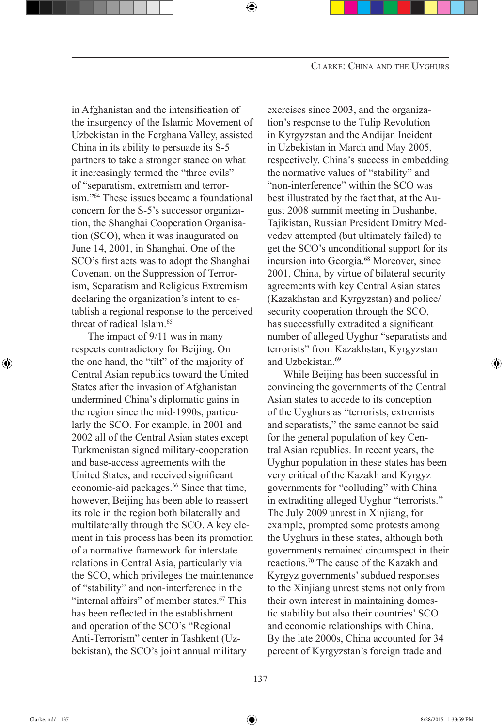in Afghanistan and the intensification of the insurgency of the Islamic Movement of Uzbekistan in the Ferghana Valley, assisted China in its ability to persuade its S-5 partners to take a stronger stance on what it increasingly termed the "three evils" of "separatism, extremism and terrorism."64 These issues became a foundational concern for the S-5's successor organization, the Shanghai Cooperation Organisation (SCO), when it was inaugurated on June 14, 2001, in Shanghai. One of the SCO's first acts was to adopt the Shanghai Covenant on the Suppression of Terrorism, Separatism and Religious Extremism declaring the organization's intent to establish a regional response to the perceived threat of radical Islam.<sup>65</sup>

The impact of 9/11 was in many respects contradictory for Beijing. On the one hand, the "tilt" of the majority of Central Asian republics toward the United States after the invasion of Afghanistan undermined China's diplomatic gains in the region since the mid-1990s, particularly the SCO. For example, in 2001 and 2002 all of the Central Asian states except Turkmenistan signed military-cooperation and base-access agreements with the United States, and received significant economic-aid packages.<sup>66</sup> Since that time, however, Beijing has been able to reassert its role in the region both bilaterally and multilaterally through the SCO. A key element in this process has been its promotion of a normative framework for interstate relations in Central Asia, particularly via the SCO, which privileges the maintenance of "stability" and non-interference in the "internal affairs" of member states.<sup>67</sup> This has been reflected in the establishment and operation of the SCO's "Regional Anti-Terrorism" center in Tashkent (Uzbekistan), the SCO's joint annual military

exercises since 2003, and the organization's response to the Tulip Revolution in Kyrgyzstan and the Andijan Incident in Uzbekistan in March and May 2005, respectively. China's success in embedding the normative values of "stability" and "non-interference" within the SCO was best illustrated by the fact that, at the August 2008 summit meeting in Dushanbe, Tajikistan, Russian President Dmitry Medvedev attempted (but ultimately failed) to get the SCO's unconditional support for its incursion into Georgia.<sup>68</sup> Moreover, since 2001, China, by virtue of bilateral security agreements with key Central Asian states (Kazakhstan and Kyrgyzstan) and police/ security cooperation through the SCO, has successfully extradited a significant number of alleged Uyghur "separatists and terrorists" from Kazakhstan, Kyrgyzstan and Uzbekistan.<sup>69</sup>

While Beijing has been successful in convincing the governments of the Central Asian states to accede to its conception of the Uyghurs as "terrorists, extremists and separatists," the same cannot be said for the general population of key Central Asian republics. In recent years, the Uyghur population in these states has been very critical of the Kazakh and Kyrgyz governments for "colluding" with China in extraditing alleged Uyghur "terrorists." The July 2009 unrest in Xinjiang, for example, prompted some protests among the Uyghurs in these states, although both governments remained circumspect in their reactions.70 The cause of the Kazakh and Kyrgyz governments' subdued responses to the Xinjiang unrest stems not only from their own interest in maintaining domestic stability but also their countries' SCO and economic relationships with China. By the late 2000s, China accounted for 34 percent of Kyrgyzstan's foreign trade and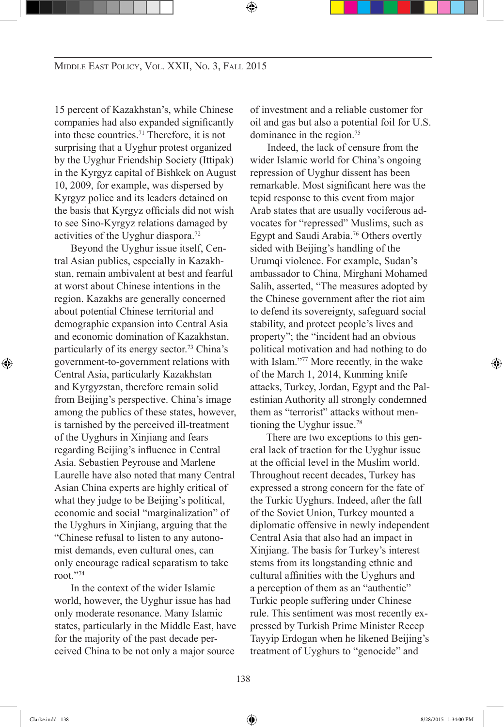15 percent of Kazakhstan's, while Chinese companies had also expanded significantly into these countries.71 Therefore, it is not surprising that a Uyghur protest organized by the Uyghur Friendship Society (Ittipak) in the Kyrgyz capital of Bishkek on August 10, 2009, for example, was dispersed by Kyrgyz police and its leaders detained on the basis that Kyrgyz officials did not wish to see Sino-Kyrgyz relations damaged by activities of the Uyghur diaspora.72

Beyond the Uyghur issue itself, Central Asian publics, especially in Kazakhstan, remain ambivalent at best and fearful at worst about Chinese intentions in the region. Kazakhs are generally concerned about potential Chinese territorial and demographic expansion into Central Asia and economic domination of Kazakhstan, particularly of its energy sector.<sup>73</sup> China's government-to-government relations with Central Asia, particularly Kazakhstan and Kyrgyzstan, therefore remain solid from Beijing's perspective. China's image among the publics of these states, however, is tarnished by the perceived ill-treatment of the Uyghurs in Xinjiang and fears regarding Beijing's influence in Central Asia. Sebastien Peyrouse and Marlene Laurelle have also noted that many Central Asian China experts are highly critical of what they judge to be Beijing's political, economic and social "marginalization" of the Uyghurs in Xinjiang, arguing that the "Chinese refusal to listen to any autonomist demands, even cultural ones, can only encourage radical separatism to take root."74

In the context of the wider Islamic world, however, the Uyghur issue has had only moderate resonance. Many Islamic states, particularly in the Middle East, have for the majority of the past decade perceived China to be not only a major source

of investment and a reliable customer for oil and gas but also a potential foil for U.S. dominance in the region.<sup>75</sup>

Indeed, the lack of censure from the wider Islamic world for China's ongoing repression of Uyghur dissent has been remarkable. Most significant here was the tepid response to this event from major Arab states that are usually vociferous advocates for "repressed" Muslims, such as Egypt and Saudi Arabia.76 Others overtly sided with Beijing's handling of the Urumqi violence. For example, Sudan's ambassador to China, Mirghani Mohamed Salih, asserted, "The measures adopted by the Chinese government after the riot aim to defend its sovereignty, safeguard social stability, and protect people's lives and property"; the "incident had an obvious political motivation and had nothing to do with Islam."<sup>77</sup> More recently, in the wake of the March 1, 2014, Kunming knife attacks, Turkey, Jordan, Egypt and the Palestinian Authority all strongly condemned them as "terrorist" attacks without mentioning the Uyghur issue.78

There are two exceptions to this general lack of traction for the Uyghur issue at the official level in the Muslim world. Throughout recent decades, Turkey has expressed a strong concern for the fate of the Turkic Uyghurs. Indeed, after the fall of the Soviet Union, Turkey mounted a diplomatic offensive in newly independent Central Asia that also had an impact in Xinjiang. The basis for Turkey's interest stems from its longstanding ethnic and cultural affinities with the Uyghurs and a perception of them as an "authentic" Turkic people suffering under Chinese rule. This sentiment was most recently expressed by Turkish Prime Minister Recep Tayyip Erdogan when he likened Beijing's treatment of Uyghurs to "genocide" and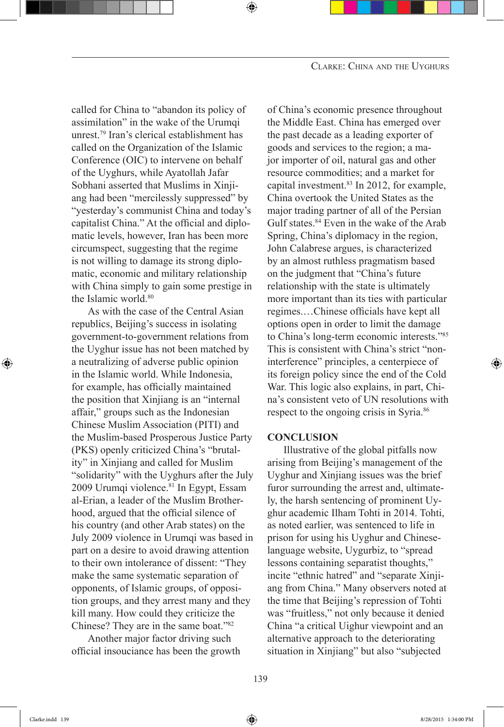called for China to "abandon its policy of assimilation" in the wake of the Urumqi unrest.<sup>79</sup> Iran's clerical establishment has called on the Organization of the Islamic Conference (OIC) to intervene on behalf of the Uyghurs, while Ayatollah Jafar Sobhani asserted that Muslims in Xinjiang had been "mercilessly suppressed" by "yesterday's communist China and today's capitalist China." At the official and diplomatic levels, however, Iran has been more circumspect, suggesting that the regime is not willing to damage its strong diplomatic, economic and military relationship with China simply to gain some prestige in the Islamic world.<sup>80</sup>

As with the case of the Central Asian republics, Beijing's success in isolating government-to-government relations from the Uyghur issue has not been matched by a neutralizing of adverse public opinion in the Islamic world. While Indonesia, for example, has officially maintained the position that Xinjiang is an "internal affair," groups such as the Indonesian Chinese Muslim Association (PITI) and the Muslim-based Prosperous Justice Party (PKS) openly criticized China's "brutality" in Xinjiang and called for Muslim "solidarity" with the Uyghurs after the July 2009 Urumqi violence.<sup>81</sup> In Egypt, Essam al-Erian, a leader of the Muslim Brotherhood, argued that the official silence of his country (and other Arab states) on the July 2009 violence in Urumqi was based in part on a desire to avoid drawing attention to their own intolerance of dissent: "They make the same systematic separation of opponents, of Islamic groups, of opposition groups, and they arrest many and they kill many. How could they criticize the Chinese? They are in the same boat."82

Another major factor driving such official insouciance has been the growth

of China's economic presence throughout the Middle East. China has emerged over the past decade as a leading exporter of goods and services to the region; a major importer of oil, natural gas and other resource commodities; and a market for capital investment.<sup>83</sup> In 2012, for example, China overtook the United States as the major trading partner of all of the Persian Gulf states.<sup>84</sup> Even in the wake of the Arab Spring, China's diplomacy in the region, John Calabrese argues, is characterized by an almost ruthless pragmatism based on the judgment that "China's future relationship with the state is ultimately more important than its ties with particular regimes.…Chinese officials have kept all options open in order to limit the damage to China's long-term economic interests."85 This is consistent with China's strict "noninterference" principles, a centerpiece of its foreign policy since the end of the Cold War. This logic also explains, in part, China's consistent veto of UN resolutions with respect to the ongoing crisis in Syria.<sup>86</sup>

#### **CONCLUSION**

Illustrative of the global pitfalls now arising from Beijing's management of the Uyghur and Xinjiang issues was the brief furor surrounding the arrest and, ultimately, the harsh sentencing of prominent Uyghur academic Ilham Tohti in 2014. Tohti, as noted earlier, was sentenced to life in prison for using his Uyghur and Chineselanguage website, Uygurbiz, to "spread lessons containing separatist thoughts," incite "ethnic hatred" and "separate Xinjiang from China." Many observers noted at the time that Beijing's repression of Tohti was "fruitless," not only because it denied China "a critical Uighur viewpoint and an alternative approach to the deteriorating situation in Xinjiang" but also "subjected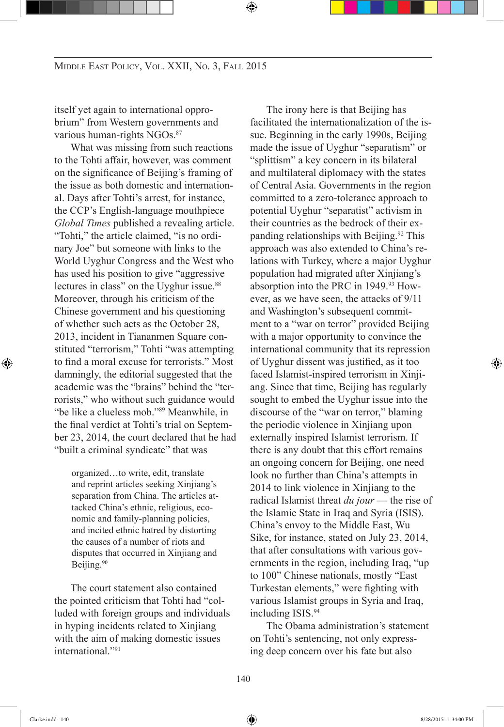itself yet again to international opprobrium" from Western governments and various human-rights NGOs.<sup>87</sup>

What was missing from such reactions to the Tohti affair, however, was comment on the significance of Beijing's framing of the issue as both domestic and international. Days after Tohti's arrest, for instance, the CCP's English-language mouthpiece *Global Times* published a revealing article. "Tohti," the article claimed, "is no ordinary Joe" but someone with links to the World Uyghur Congress and the West who has used his position to give "aggressive lectures in class" on the Uyghur issue.<sup>88</sup> Moreover, through his criticism of the Chinese government and his questioning of whether such acts as the October 28, 2013, incident in Tiananmen Square constituted "terrorism," Tohti "was attempting to find a moral excuse for terrorists." Most damningly, the editorial suggested that the academic was the "brains" behind the "terrorists," who without such guidance would "be like a clueless mob."<sup>89</sup> Meanwhile, in the final verdict at Tohti's trial on September 23, 2014, the court declared that he had "built a criminal syndicate" that was

organized…to write, edit, translate and reprint articles seeking Xinjiang's separation from China. The articles attacked China's ethnic, religious, economic and family-planning policies, and incited ethnic hatred by distorting the causes of a number of riots and disputes that occurred in Xinjiang and Beijing.<sup>90</sup>

The court statement also contained the pointed criticism that Tohti had "colluded with foreign groups and individuals in hyping incidents related to Xinjiang with the aim of making domestic issues international<sup>"91</sup>

The irony here is that Beijing has facilitated the internationalization of the issue. Beginning in the early 1990s, Beijing made the issue of Uyghur "separatism" or "splittism" a key concern in its bilateral and multilateral diplomacy with the states of Central Asia. Governments in the region committed to a zero-tolerance approach to potential Uyghur "separatist" activism in their countries as the bedrock of their expanding relationships with Beijing.<sup>92</sup> This approach was also extended to China's relations with Turkey, where a major Uyghur population had migrated after Xinjiang's absorption into the PRC in 1949.<sup>93</sup> However, as we have seen, the attacks of 9/11 and Washington's subsequent commitment to a "war on terror" provided Beijing with a major opportunity to convince the international community that its repression of Uyghur dissent was justified, as it too faced Islamist-inspired terrorism in Xinjiang. Since that time, Beijing has regularly sought to embed the Uyghur issue into the discourse of the "war on terror," blaming the periodic violence in Xinjiang upon externally inspired Islamist terrorism. If there is any doubt that this effort remains an ongoing concern for Beijing, one need look no further than China's attempts in 2014 to link violence in Xinjiang to the radical Islamist threat *du jour* — the rise of the Islamic State in Iraq and Syria (ISIS). China's envoy to the Middle East, Wu Sike, for instance, stated on July 23, 2014, that after consultations with various governments in the region, including Iraq, "up to 100" Chinese nationals, mostly "East Turkestan elements," were fighting with various Islamist groups in Syria and Iraq, including ISIS.<sup>94</sup>

The Obama administration's statement on Tohti's sentencing, not only expressing deep concern over his fate but also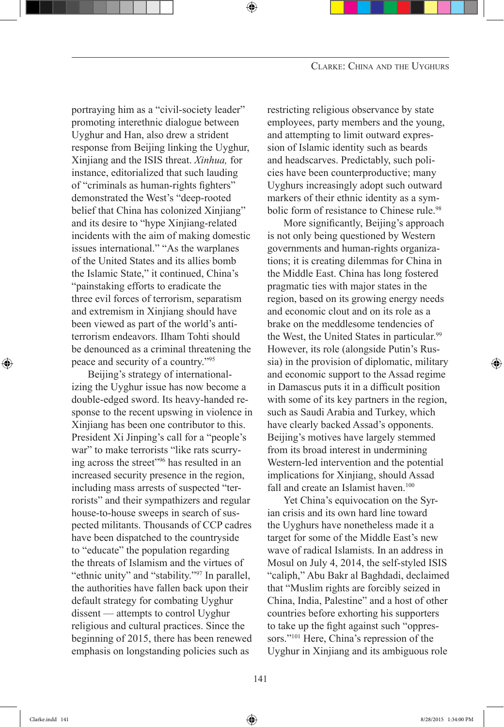portraying him as a "civil-society leader" promoting interethnic dialogue between Uyghur and Han, also drew a strident response from Beijing linking the Uyghur, Xinjiang and the ISIS threat. *Xinhua,* for instance, editorialized that such lauding of "criminals as human-rights fighters" demonstrated the West's "deep-rooted belief that China has colonized Xinjiang" and its desire to "hype Xinjiang-related incidents with the aim of making domestic issues international." "As the warplanes of the United States and its allies bomb the Islamic State," it continued, China's "painstaking efforts to eradicate the three evil forces of terrorism, separatism and extremism in Xinjiang should have been viewed as part of the world's antiterrorism endeavors. Ilham Tohti should be denounced as a criminal threatening the peace and security of a country."<sup>95</sup>

Beijing's strategy of internationalizing the Uyghur issue has now become a double-edged sword. Its heavy-handed response to the recent upswing in violence in Xinjiang has been one contributor to this. President Xi Jinping's call for a "people's war" to make terrorists "like rats scurrying across the street"<sup>96</sup> has resulted in an increased security presence in the region, including mass arrests of suspected "terrorists" and their sympathizers and regular house-to-house sweeps in search of suspected militants. Thousands of CCP cadres have been dispatched to the countryside to "educate" the population regarding the threats of Islamism and the virtues of "ethnic unity" and "stability."<sup>97</sup> In parallel, the authorities have fallen back upon their default strategy for combating Uyghur dissent — attempts to control Uyghur religious and cultural practices. Since the beginning of 2015, there has been renewed emphasis on longstanding policies such as

restricting religious observance by state employees, party members and the young, and attempting to limit outward expression of Islamic identity such as beards and headscarves. Predictably, such policies have been counterproductive; many Uyghurs increasingly adopt such outward markers of their ethnic identity as a symbolic form of resistance to Chinese rule.<sup>98</sup>

More significantly, Beijing's approach is not only being questioned by Western governments and human-rights organizations; it is creating dilemmas for China in the Middle East. China has long fostered pragmatic ties with major states in the region, based on its growing energy needs and economic clout and on its role as a brake on the meddlesome tendencies of the West, the United States in particular.<sup>99</sup> However, its role (alongside Putin's Russia) in the provision of diplomatic, military and economic support to the Assad regime in Damascus puts it in a difficult position with some of its key partners in the region, such as Saudi Arabia and Turkey, which have clearly backed Assad's opponents. Beijing's motives have largely stemmed from its broad interest in undermining Western-led intervention and the potential implications for Xinjiang, should Assad fall and create an Islamist haven.<sup>100</sup>

Yet China's equivocation on the Syrian crisis and its own hard line toward the Uyghurs have nonetheless made it a target for some of the Middle East's new wave of radical Islamists. In an address in Mosul on July 4, 2014, the self-styled ISIS "caliph," Abu Bakr al Baghdadi, declaimed that "Muslim rights are forcibly seized in China, India, Palestine" and a host of other countries before exhorting his supporters to take up the fight against such "oppressors."<sup>101</sup> Here, China's repression of the Uyghur in Xinjiang and its ambiguous role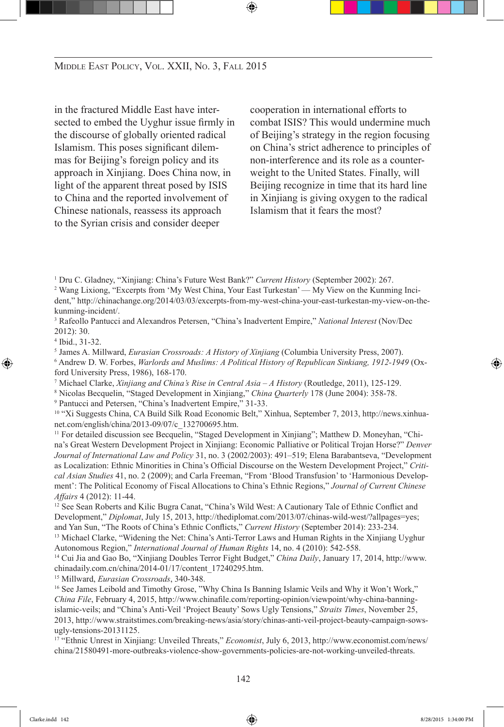in the fractured Middle East have intersected to embed the Uyghur issue firmly in the discourse of globally oriented radical Islamism. This poses significant dilemmas for Beijing's foreign policy and its approach in Xinjiang. Does China now, in light of the apparent threat posed by ISIS to China and the reported involvement of Chinese nationals, reassess its approach to the Syrian crisis and consider deeper

cooperation in international efforts to combat ISIS? This would undermine much of Beijing's strategy in the region focusing on China's strict adherence to principles of non-interference and its role as a counterweight to the United States. Finally, will Beijing recognize in time that its hard line in Xinjiang is giving oxygen to the radical Islamism that it fears the most?

1 Dru C. Gladney, "Xinjiang: China's Future West Bank?" *Current History* (September 2002): 267.

2 Wang Lixiong, "Excerpts from 'My West China, Your East Turkestan' — My View on the Kunming Incident," http://chinachange.org/2014/03/03/excerpts-from-my-west-china-your-east-turkestan-my-view-on-thekunming-incident/.

 Rafeollo Pantucci and Alexandros Petersen, "China's Inadvertent Empire," *National Interest* (Nov/Dec 2012): 30.

5 James A. Millward, *Eurasian Crossroads: A History of Xinjiang* (Columbia University Press, 2007). 6 Andrew D. W. Forbes, *Warlords and Muslims: A Political History of Republican Sinkiang, 1912-1949* (Oxford University Press, 1986), 168-170.

7 Michael Clarke, *Xinjiang and China's Rise in Central Asia – A History* (Routledge, 2011), 125-129.

8 Nicolas Becquelin, "Staged Development in Xinjiang," *China Quarterly* 178 (June 2004): 358-78.

9 Pantucci and Petersen, "China's Inadvertent Empire," 31-33.

10 "Xi Suggests China, CA Build Silk Road Economic Belt," Xinhua, September 7, 2013, http://news.xinhuanet.com/english/china/2013-09/07/c\_132700695.htm.<br><sup>11</sup> For detailed discussion see Becquelin, "Staged Development in Xinjiang"; Matthew D. Moneyhan, "Chi-

na's Great Western Development Project in Xinjiang: Economic Palliative or Political Trojan Horse?" *Denver Journal of International Law and Policy* 31, no. 3 (2002/2003): 491–519; Elena Barabantseva, "Development as Localization: Ethnic Minorities in China's Official Discourse on the Western Development Project," *Critical Asian Studies* 41, no. 2 (2009); and Carla Freeman, "From 'Blood Transfusion' to 'Harmonious Development': The Political Economy of Fiscal Allocations to China's Ethnic Regions," *Journal of Current Chinese Affairs* 4 (2012): 11-44.

<sup>12</sup> See Sean Roberts and Kilic Bugra Canat, "China's Wild West: A Cautionary Tale of Ethnic Conflict and Development," *Diplomat*, July 15, 2013, http://thediplomat.com/2013/07/chinas-wild-west/?allpages=yes; and Yan Sun, "The Roots of China's Ethnic Conflicts," *Current History* (September 2014): 233-234.

<sup>13</sup> Michael Clarke, "Widening the Net: China's Anti-Terror Laws and Human Rights in the Xinjiang Uyghur Autonomous Region," *International Journal of Human Rights* 14, no. 4 (2010): 542-558.

14 Cui Jia and Gao Bo, "Xinjiang Doubles Terror Fight Budget," *China Daily*, January 17, 2014, http://www. chinadaily.com.cn/china/2014-01/17/content\_17240295.htm. 15 Millward, *Eurasian Crossroads*, 340-348.

<sup>16</sup> See James Leibold and Timothy Grose, "Why China Is Banning Islamic Veils and Why it Won't Work," *China File*, February 4, 2015, http://www.chinafile.com/reporting-opinion/viewpoint/why-china-banningislamic-veils; and "China's Anti-Veil 'Project Beauty' Sows Ugly Tensions," *Straits Times*, November 25, 2013, http://www.straitstimes.com/breaking-news/asia/story/chinas-anti-veil-project-beauty-campaign-sowsugly-tensions-20131125.

17 "Ethnic Unrest in Xinjiang: Unveiled Threats," *Economist*, July 6, 2013, http://www.economist.com/news/ china/21580491-more-outbreaks-violence-show-governments-policies-are-not-working-unveiled-threats.

<sup>4</sup> Ibid., 31-32.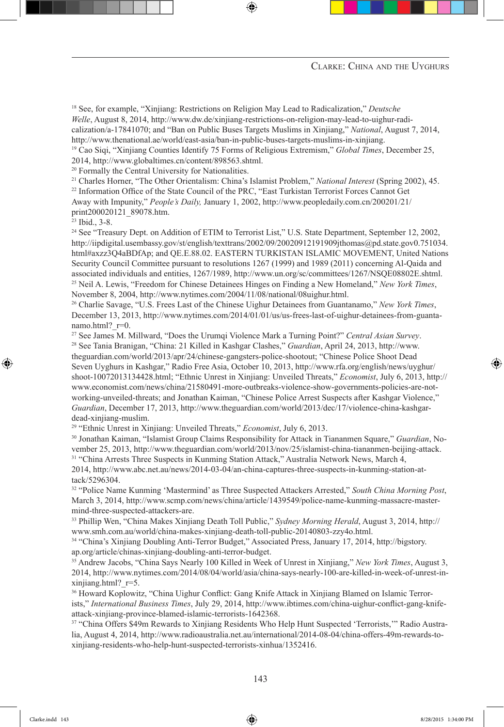18 See, for example, "Xinjiang: Restrictions on Religion May Lead to Radicalization," *Deutsche Welle*, August 8, 2014, http://www.dw.de/xinjiang-restrictions-on-religion-may-lead-to-uighur-radicalization/a-17841070; and "Ban on Public Buses Targets Muslims in Xinjiang," *National*, August 7, 2014, http://www.thenational.ae/world/east-asia/ban-in-public-buses-targets-muslims-in-xinjiang. <sup>19</sup> Cao Siqi, "Xinjiang Counties Identify 75 Forms of Religious Extremism," *Global Times*, December 25,

2014, http://www.globaltimes.cn/content/898563.shtml. 20 Formally the Central University for Nationalities.

21 Charles Horner, "The Other Orientalism: China's Islamist Problem," *National Interest* (Spring 2002), 45. <sup>22</sup> Information Office of the State Council of the PRC, "East Turkistan Terrorist Forces Cannot Get Away with Impunity," *People's Daily,* January 1, 2002, http://www.peopledaily.com.cn/200201/21/ print200020121\_89078.htm.

<sup>23</sup> Ibid., 3-8.

<sup>24</sup> See "Treasury Dept. on Addition of ETIM to Terrorist List," U.S. State Department, September 12, 2002, http://iipdigital.usembassy.gov/st/english/texttrans/2002/09/20020912191909jthomas@pd.state.gov0.751034. html#axzz3Q4aBDfAp; and QE.E.88.02. EASTERN TURKISTAN ISLAMIC MOVEMENT, United Nations Security Council Committee pursuant to resolutions 1267 (1999) and 1989 (2011) concerning Al-Qaida and associated individuals and entities, 1267/1989, http://www.un.org/sc/committees/1267/NSQE08802E.shtml. 25 Neil A. Lewis, "Freedom for Chinese Detainees Hinges on Finding a New Homeland," *New York Times*, November 8, 2004, http://www.nytimes.com/2004/11/08/national/08uighur.html.

26 Charlie Savage, "U.S. Frees Last of the Chinese Uighur Detainees from Guantanamo," *New York Times*, December 13, 2013, http://www.nytimes.com/2014/01/01/us/us-frees-last-of-uighur-detainees-from-guantanamo.html?\_r=0.<br><sup>27</sup> See James M. Millward, "Does the Urumqi Violence Mark a Turning Point?" *Central Asian Survey*.

28 See Tania Branigan, "China: 21 Killed in Kashgar Clashes," *Guardian*, April 24, 2013, http://www. theguardian.com/world/2013/apr/24/chinese-gangsters-police-shootout; "Chinese Police Shoot Dead Seven Uyghurs in Kashgar," Radio Free Asia, October 10, 2013, http://www.rfa.org/english/news/uyghur/ shoot-10072013134428.html; "Ethnic Unrest in Xinjiang: Unveiled Threats," *Economist*, July 6, 2013, http:// www.economist.com/news/china/21580491-more-outbreaks-violence-show-governments-policies-are-notworking-unveiled-threats; and Jonathan Kaiman, "Chinese Police Arrest Suspects after Kashgar Violence," *Guardian*, December 17, 2013, http://www.theguardian.com/world/2013/dec/17/violence-china-kashgardead-xinjiang-muslim.

<sup>29</sup> "Ethnic Unrest in Xinjiang: Unveiled Threats," *Economist*, July 6, 2013.

30 Jonathan Kaiman, "Islamist Group Claims Responsibility for Attack in Tiananmen Square," *Guardian*, November 25, 2013, http://www.theguardian.com/world/2013/nov/25/islamist-china-tiananmen-beijing-attack. <sup>31</sup> "China Arrests Three Suspects in Kunming Station Attack," Australia Network News, March 4, 2014, http://www.abc.net.au/news/2014-03-04/an-china-captures-three-suspects-in-kunming-station-at-

tack/5296304. 32 "Police Name Kunming 'Mastermind' as Three Suspected Attackers Arrested," *South China Morning Post*, March 3, 2014, http://www.scmp.com/news/china/article/1439549/police-name-kunming-massacre-mastermind-three-suspected-attackers-are.

33 Phillip Wen, "China Makes Xinjiang Death Toll Public," *Sydney Morning Herald*, August 3, 2014, http:// www.smh.com.au/world/china-makes-xinjiang-death-toll-public-20140803-zzy4o.html.

34 "China's Xinjiang Doubling Anti-Terror Budget," Associated Press, January 17, 2014, http://bigstory. ap.org/article/chinas-xinjiang-doubling-anti-terror-budget.

35 Andrew Jacobs, "China Says Nearly 100 Killed in Week of Unrest in Xinjiang," *New York Times*, August 3, 2014, http://www.nytimes.com/2014/08/04/world/asia/china-says-nearly-100-are-killed-in-week-of-unrest-inxinjiang.html?\_r=5. 36 Howard Koplowitz, "China Uighur Conflict: Gang Knife Attack in Xinjiang Blamed on Islamic Terror-

ists," *International Business Times*, July 29, 2014, http://www.ibtimes.com/china-uighur-conflict-gang-knifeattack-xinjiang-province-blamed-islamic-terrorists-1642368.

37 "China Offers \$49m Rewards to Xinjiang Residents Who Help Hunt Suspected 'Terrorists,'" Radio Australia, August 4, 2014, http://www.radioaustralia.net.au/international/2014-08-04/china-offers-49m-rewards-toxinjiang-residents-who-help-hunt-suspected-terrorists-xinhua/1352416.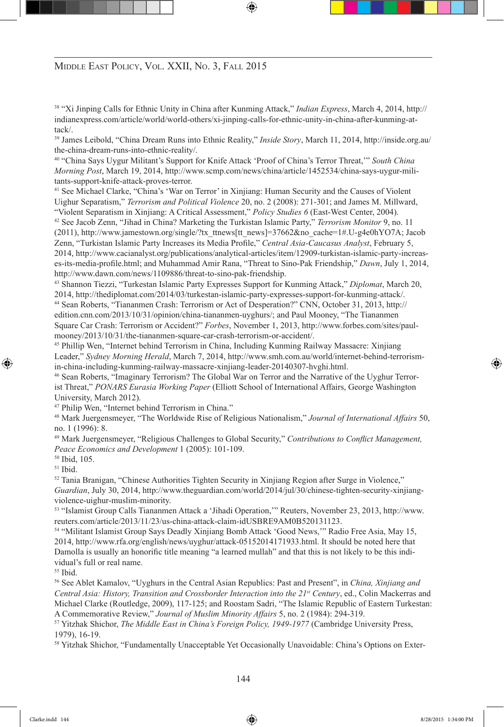38 "Xi Jinping Calls for Ethnic Unity in China after Kunming Attack," *Indian Express*, March 4, 2014, http:// indianexpress.com/article/world/world-others/xi-jinping-calls-for-ethnic-unity-in-china-after-kunming-attack/.

<sup>39</sup> James Leibold, "China Dream Runs into Ethnic Reality," *Inside Story*, March 11, 2014, http://inside.org.au/ the-china-dream-runs-into-ethnic-reality/. 40 "China Says Uygur Militant's Support for Knife Attack 'Proof of China's Terror Threat,'" *South China* 

*Morning Post*, March 19, 2014, http://www.scmp.com/news/china/article/1452534/china-says-uygur-militants-support-knife-attack-proves-terror.

41 See Michael Clarke, "China's 'War on Terror' in Xinjiang: Human Security and the Causes of Violent Uighur Separatism," *Terrorism and Political Violence* 20, no. 2 (2008): 271-301; and James M. Millward, "Violent Separatism in Xinjiang: A Critical Assessment," *Policy Studies 6* (East-West Center, 2004). 42 See Jacob Zenn, "Jihad in China? Marketing the Turkistan Islamic Party," *Terrorism Monitor* 9, no. 11 (2011), http://www.jamestown.org/single/?tx\_ttnews[tt\_news]=37662&no\_cache=1#.U-g4e0hYO7A; Jacob Zenn, "Turkistan Islamic Party Increases its Media Profile," *Central Asia-Caucasus Analyst*, February 5, 2014, http://www.cacianalyst.org/publications/analytical-articles/item/12909-turkistan-islamic-party-increases-its-media-profile.html; and Muhammad Amir Rana, "Threat to Sino-Pak Friendship," *Dawn*, July 1, 2014,

http://www.dawn.com/news/1109886/threat-to-sino-pak-friendship. 43 Shannon Tiezzi, "Turkestan Islamic Party Expresses Support for Kunming Attack," *Diplomat*, March 20, 2014, http://thediplomat.com/2014/03/turkestan-islamic-party-expresses-support-for-kunming-attack/. 44 Sean Roberts, "Tiananmen Crash: Terrorism or Act of Desperation?" CNN, October 31, 2013, http:// edition.cnn.com/2013/10/31/opinion/china-tiananmen-uyghurs/; and Paul Mooney, "The Tiananmen Square Car Crash: Terrorism or Accident?" *Forbes*, November 1, 2013, http://www.forbes.com/sites/paulmooney/2013/10/31/the-tiananmen-square-car-crash-terrorism-or-accident/.

45 Phillip Wen, "Internet behind Terrorism in China, Including Kunming Railway Massacre: Xinjiang Leader," *Sydney Morning Herald*, March 7, 2014, http://www.smh.com.au/world/internet-behind-terrorismin-china-including-kunming-railway-massacre-xinjiang-leader-20140307-hvghi.html.

46 Sean Roberts, "Imaginary Terrorism? The Global War on Terror and the Narrative of the Uyghur Terrorist Threat," *PONARS Eurasia Working Paper* (Elliott School of International Affairs, George Washington University, March 2012).

47 Philip Wen, "Internet behind Terrorism in China."

48 Mark Juergensmeyer, "The Worldwide Rise of Religious Nationalism," *Journal of International Affairs* 50, no. 1 (1996): 8.

<sup>49</sup> Mark Juergensmeyer, "Religious Challenges to Global Security," *Contributions to Conflict Management, Peace Economics and Development* 1 (2005): 101-109.

50 Ibid, 105.

51 Ibid.

52 Tania Branigan, "Chinese Authorities Tighten Security in Xinjiang Region after Surge in Violence," *Guardian*, July 30, 2014, http://www.theguardian.com/world/2014/jul/30/chinese-tighten-security-xinjiangviolence-uighur-muslim-minority.

53 "Islamist Group Calls Tiananmen Attack a 'Jihadi Operation,'" Reuters, November 23, 2013, http://www. reuters.com/article/2013/11/23/us-china-attack-claim-idUSBRE9AM0B520131123.

54 "Militant Islamist Group Says Deadly Xinjiang Bomb Attack 'Good News,'" Radio Free Asia, May 15, 2014, http://www.rfa.org/english/news/uyghur/attack-05152014171933.html. It should be noted here that Damolla is usually an honorific title meaning "a learned mullah" and that this is not likely to be this individual's full or real name.

55 Ibid.

56 See Ablet Kamalov, "Uyghurs in the Central Asian Republics: Past and Present", in *China, Xinjiang and Central Asia: History, Transition and Crossborder Interaction into the 21st Century*, ed., Colin Mackerras and Michael Clarke (Routledge, 2009), 117-125; and Roostam Sadri, "The Islamic Republic of Eastern Turkestan: A Commemorative Review," *Journal of Muslim Minority Affairs* 5, no. 2 (1984): 294-319.

57 Yitzhak Shichor, *The Middle East in China's Foreign Policy, 1949-1977* (Cambridge University Press, 1979), 16-19.

58 Yitzhak Shichor, "Fundamentally Unacceptable Yet Occasionally Unavoidable: China's Options on Exter-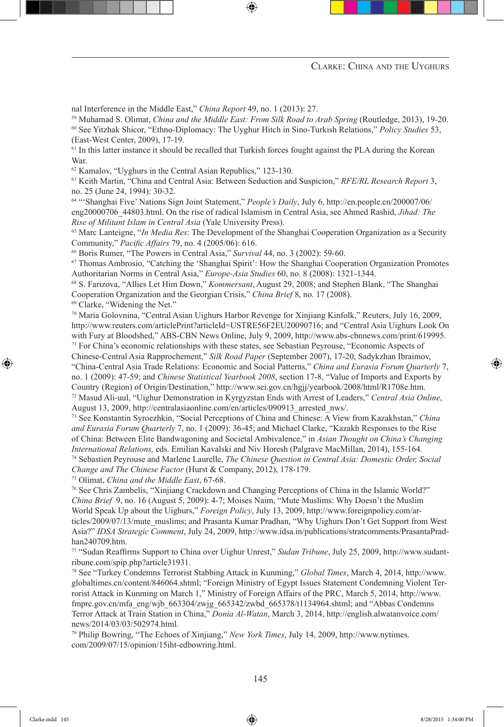nal Interference in the Middle East," *China Report* 49, no. 1 (2013): 27.

<sup>59</sup> Muhamad S. Olimat, *China and the Middle East: From Silk Road to Arab Spring* (Routledge, 2013), 19-20.

60 See Yitzhak Shicor, "Ethno-Diplomacy: The Uyghur Hitch in Sino-Turkish Relations," *Policy Studies* 53, (East-West Center, 2009), 17-19.

<sup>61</sup> In this latter instance it should be recalled that Turkish forces fought against the PLA during the Korean War.

62 Kamalov, "Uyghurs in the Central Asian Republics," 123-130.

63 Keith Martin, "China and Central Asia: Between Seduction and Suspicion," *RFE/RL Research Report* 3, no. 25 (June 24, 1994): 30-32.

64 "'Shanghai Five' Nations Sign Joint Statement," *People's Daily*, July 6, http://en.people.cn/200007/06/ eng20000706\_44803.html. On the rise of radical Islamism in Central Asia, see Ahmed Rashid, *Jihad: The Rise of Militant Islam in Central Asia* (Yale University Press).

65 Marc Lanteigne, "*In Media Res*: The Development of the Shanghai Cooperation Organization as a Security Community," *Pacific Affairs* 79, no. 4 (2005/06): 616.

66 Boris Rumer, "The Powers in Central Asia," *Survival* 44, no. 3 (2002): 59-60.

67 Thomas Ambrosio, "Catching the 'Shanghai Spirit': How the Shanghai Cooperation Organization Promotes Authoritarian Norms in Central Asia," *Europe-Asia Studies* 60, no. 8 (2008): 1321-1344.

68 S. Farizova, "Allies Let Him Down," *Kommersant*, August 29, 2008; and Stephen Blank, "The Shanghai Cooperation Organization and the Georgian Crisis," *China Brief* 8, no. 17 (2008).

<sup>69</sup> Clarke, "Widening the Net."

<sup>70</sup> Maria Golovnina, "Central Asian Uighurs Harbor Revenge for Xinjiang Kinfolk," Reuters, July 16, 2009, http://www.reuters.com/articlePrint?articleId=USTRE56F2EU20090716; and "Central Asia Uighurs Look On with Fury at Bloodshed," ABS-CBN News Online, July 9, 2009, http://www.abs-cbnnews.com/print/619995.<br><sup>71</sup> For China's economic relationships with these states, see Sebastian Peyrouse, "Economic Aspects of Chinese-Central Asia Rapprochement," *Silk Road Paper* (September 2007), 17-20, Sadykzhan Ibraimov, "China-Central Asia Trade Relations: Economic and Social Patterns," *China and Eurasia Forum Quarterly* 7, no. 1 (2009): 47-59; and *Chinese Statistical Yearbook 2008*, section 17-8, "Value of Imports and Exports by Country (Region) of Origin/Destination," http://www.sei.gov.cn/hgjj/yearbook/2008/html/R1708e.htm. 72 Masud Ali-uul, "Uighur Demonstration in Kyrgyzstan Ends with Arrest of Leaders," *Central Asia Online*,

August 13, 2009, http://centralasiaonline.com/en/articles/090913\_arrested\_nws/. 73 See Konstantin Syroezhkin, "Social Perceptions of China and Chinese: A View from Kazakhstan," *China* 

*and Eurasia Forum Quarterly* 7, no. 1 (2009): 36-45; and Michael Clarke, "Kazakh Responses to the Rise of China: Between Elite Bandwagoning and Societal Ambivalence," in *Asian Thought on China's Changing International Relations,* eds. Emilian Kavalski and Niv Horesh (Palgrave MacMillan, 2014), 155-164. 74 Sebastien Peyrouse and Marlene Laurelle, *The Chinese Question in Central Asia: Domestic Order, Social Change and The Chinese Factor* (Hurst & Company, 2012), 178-179.

75 Olimat, *China and the Middle East*, 67-68.

76 See Chris Zambelis, "Xinjiang Crackdown and Changing Perceptions of China in the Islamic World?" *China Brief* 9, no. 16 (August 5, 2009): 4-7; Moises Naim, "Mute Muslims: Why Doesn't the Muslim World Speak Up about the Uighurs," *Foreign Policy*, July 13, 2009, http://www.foreignpolicy.com/articles/2009/07/13/mute\_muslims; and Prasanta Kumar Pradhan, "Why Uighurs Don't Get Support from West Asia?" *IDSA Strategic Comment*, July 24, 2009, http://www.idsa.in/publications/stratcomments/PrasantaPrad-

han240709.htm.<br><sup>77</sup> "Sudan Reaffirms Support to China over Uighur Unrest," *Sudan Tribune*, July 25, 2009, http://www.sudantribune.com/spip.php?article31931. 78 See "Turkey Condemns Terrorist Stabbing Attack in Kunming," *Global Times*, March 4, 2014, http://www.

globaltimes.cn/content/846064.shtml; "Foreign Ministry of Egypt Issues Statement Condemning Violent Terrorist Attack in Kunming on March 1," Ministry of Foreign Affairs of the PRC, March 5, 2014, http://www. fmprc.gov.cn/mfa\_eng/wjb\_663304/zwjg\_665342/zwbd\_665378/t1134964.shtml; and "Abbas Condemns Terror Attack at Train Station in China," *Donia Al-Watan*, March 3, 2014, http://english.alwatanvoice.com/ news/2014/03/03/502974.html.

<sup>79</sup> Philip Bowring, "The Echoes of Xinjiang," *New York Times*, July 14, 2009, http://www.nytimes. com/2009/07/15/opinion/15iht-edbowring.html.